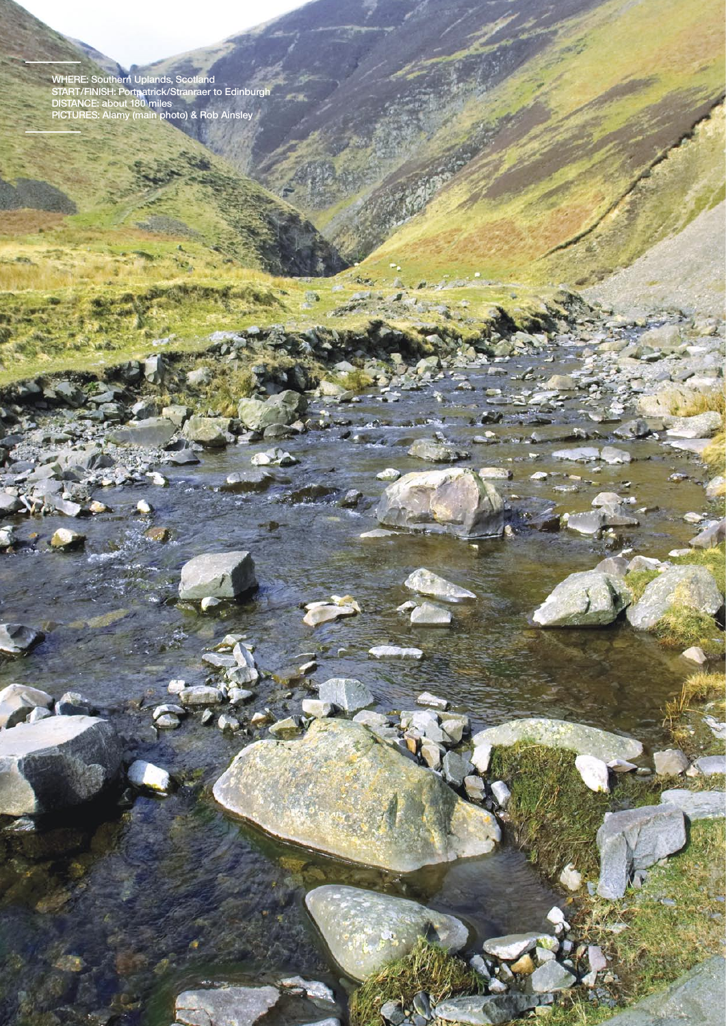**where: Southern Uplands, Scotland START/finish: Portpatrick/Stranraer to Edinburgh DISTANCE: about 180 miles PICTURES: Alamy (main photo) & Rob Ainsley**

 $M_{\rm H}$ 

m.

them.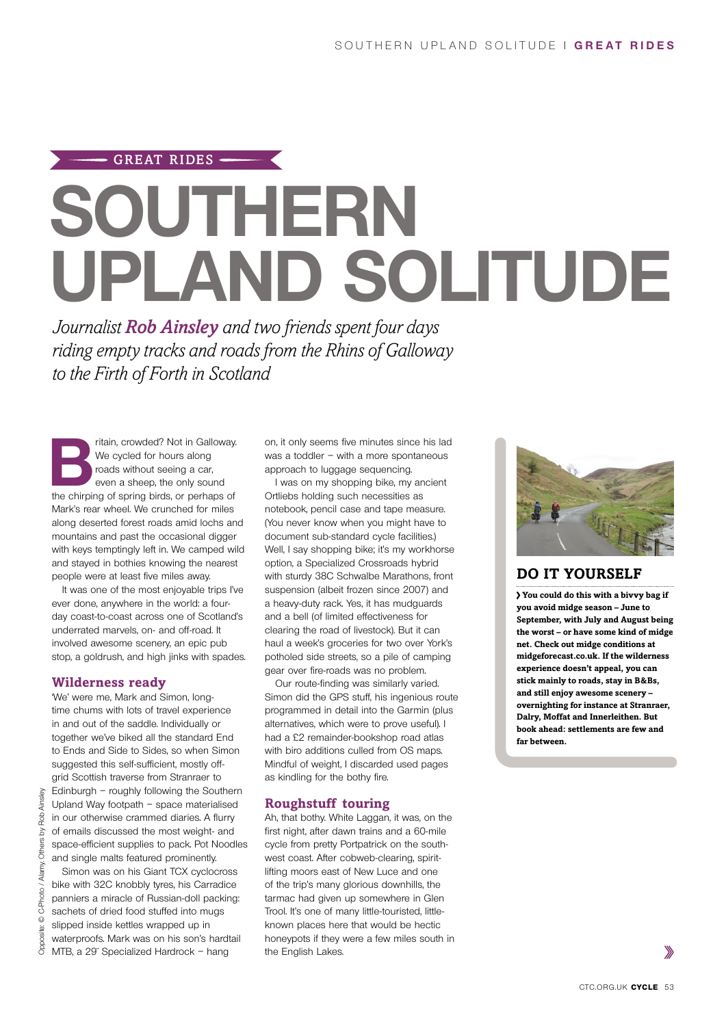# $-$  GREAT RIDES  $-$ **SOUTHERN Upland solitude**

*Journalist Rob Ainsley and two friends spent four days riding empty tracks and roads from the Rhins of Galloway to the Firth of Forth in Scotland*

**B B Pritain, crowded?** Not in Galloway.<br>
We cycled for hours along<br>
roads without seeing a car,<br>
even a sheep, the only sound<br>
the chirping of spring birds, or perhaps of We cycled for hours along roads without seeing a car, even a sheep, the only sound Mark's rear wheel. We crunched for miles along deserted forest roads amid lochs and mountains and past the occasional digger with keys temptingly left in. We camped wild and stayed in bothies knowing the nearest people were at least five miles away.

It was one of the most enjoyable trips I've ever done, anywhere in the world: a fourday coast-to-coast across one of Scotland's underrated marvels, on- and off-road. It involved awesome scenery, an epic pub stop, a goldrush, and high jinks with spades.

#### **Wilderness ready**

'We' were me, Mark and Simon, longtime chums with lots of travel experience in and out of the saddle. Individually or together we've biked all the standard End to Ends and Side to Sides, so when Simon suggested this self-sufficient, mostly offgrid Scottish traverse from Stranraer to Edinburgh – roughly following the Southern Upland Way footpath – space materialised in our otherwise crammed diaries. A flurry of emails discussed the most weight- and space-efficient supplies to pack. Pot Noodles and single malts featured prominently.

Simon was on his Giant TCX cyclocross bike with 32C knobbly tyres, his Carradice panniers a miracle of Russian-doll packing: sachets of dried food stuffed into mugs slipped inside kettles wrapped up in waterproofs. Mark was on his son's hardtail MTB, a 29¨ Specialized Hardrock – hang

on, it only seems five minutes since his lad was a toddler – with a more spontaneous approach to luggage sequencing.

I was on my shopping bike, my ancient Ortliebs holding such necessities as notebook, pencil case and tape measure. (You never know when you might have to document sub-standard cycle facilities.) Well, I say shopping bike; it's my workhorse option, a Specialized Crossroads hybrid with sturdy 38C Schwalbe Marathons, front suspension (albeit frozen since 2007) and a heavy-duty rack. Yes, it has mudguards and a bell (of limited effectiveness for clearing the road of livestock). But it can haul a week's groceries for two over York's potholed side streets, so a pile of camping gear over fire-roads was no problem.

Our route-finding was similarly varied. Simon did the GPS stuff, his ingenious route programmed in detail into the Garmin (plus alternatives, which were to prove useful). I had a £2 remainder-bookshop road atlas with biro additions culled from OS maps. Mindful of weight, I discarded used pages as kindling for the bothy fire.

#### **Roughstuff touring**

Ah, that bothy. White Laggan, it was, on the first night, after dawn trains and a 60-mile cycle from pretty Portpatrick on the southwest coast. After cobweb-clearing, spiritlifting moors east of New Luce and one of the trip's many glorious downhills, the tarmac had given up somewhere in Glen Trool. It's one of many little-touristed, littleknown places here that would be hectic honeypots if they were a few miles south in the English Lakes.



## **DO IT YOURSELF**

**You could do this with a bivvy bag if you avoid midge season – June to September, with July and August being the worst – or have some kind of midge net. Check out midge conditions at midgeforecast.co.uk. If the wilderness experience doesn't appeal, you can stick mainly to roads, stay in B&Bs, and still enjoy awesome scenery – overnighting for instance at Stranraer, Dalry, Moffat and Innerleithen. But book ahead: settlements are few and far between.**

Ainsley Rob  $\frac{1}{2}$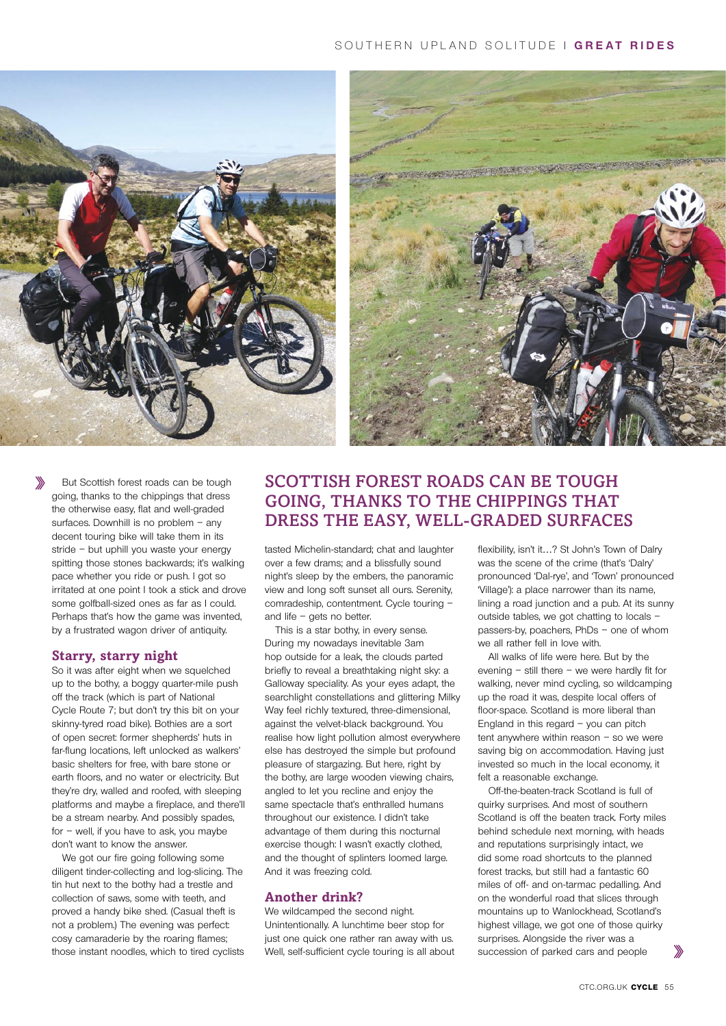### Southern upland s olitude | **GREAT RIDES**





But Scottish forest roads can be tough going, thanks to the chippings that dress the otherwise easy, flat and well-graded surfaces. Downhill is no problem – any decent touring bike will take them in its stride – but uphill you waste your energy spitting those stones backwards; it's walking pace whether you ride or push. I got so irritated at one point I took a stick and drove some golfball-sized ones as far as I could. Perhaps that's how the game was invented, by a frustrated wagon driver of antiquity.

#### **Starry, starry night**

So it was after eight when we squelched up to the bothy, a boggy quarter-mile push off the track (which is part of National Cycle Route 7; but don't try this bit on your skinny-tyred road bike). Bothies are a sort of open secret: former shepherds' huts in far-flung locations, left unlocked as walkers' basic shelters for free, with bare stone or earth floors, and no water or electricity. But they're dry, walled and roofed, with sleeping platforms and maybe a fireplace, and there'll be a stream nearby. And possibly spades, for – well, if you have to ask, you maybe don't want to know the answer.

We got our fire going following some diligent tinder-collecting and log-slicing. The tin hut next to the bothy had a trestle and collection of saws, some with teeth, and proved a handy bike shed. (Casual theft is not a problem.) The evening was perfect: cosy camaraderie by the roaring flames; those instant noodles, which to tired cyclists

## SCOTTISH FOREST ROADS CAN BE TOUGH going, thanks to the chippings that dress the easy, well-graded surfaces

tasted Michelin-standard; chat and laughter over a few drams; and a blissfully sound night's sleep by the embers, the panoramic view and long soft sunset all ours. Serenity, comradeship, contentment. Cycle touring – and life – gets no better.

This is a star bothy, in every sense. During my nowadays inevitable 3am hop outside for a leak, the clouds parted briefly to reveal a breathtaking night sky: a Galloway speciality. As your eyes adapt, the searchlight constellations and glittering Milky Way feel richly textured, three-dimensional, against the velvet-black background. You realise how light pollution almost everywhere else has destroyed the simple but profound pleasure of stargazing. But here, right by the bothy, are large wooden viewing chairs, angled to let you recline and enjoy the same spectacle that's enthralled humans throughout our existence. I didn't take advantage of them during this nocturnal exercise though: I wasn't exactly clothed, and the thought of splinters loomed large. And it was freezing cold.

#### **Another drink?**

We wildcamped the second night. Unintentionally. A lunchtime beer stop for just one quick one rather ran away with us. Well, self-sufficient cycle touring is all about flexibility, isn't it…? St John's Town of Dalry was the scene of the crime (that's 'Dalry' pronounced 'Dal-rye', and 'Town' pronounced 'Village'): a place narrower than its name, lining a road junction and a pub. At its sunny outside tables, we got chatting to locals – passers-by, poachers, PhDs – one of whom we all rather fell in love with.

All walks of life were here. But by the evening – still there – we were hardly fit for walking, never mind cycling, so wildcamping up the road it was, despite local offers of floor-space. Scotland is more liberal than England in this regard – you can pitch tent anywhere within reason – so we were saving big on accommodation. Having just invested so much in the local economy, it felt a reasonable exchange.

Off-the-beaten-track Scotland is full of quirky surprises. And most of southern Scotland is off the beaten track. Forty miles behind schedule next morning, with heads and reputations surprisingly intact, we did some road shortcuts to the planned forest tracks, but still had a fantastic 60 miles of off- and on-tarmac pedalling. And on the wonderful road that slices through mountains up to Wanlockhead, Scotland's highest village, we got one of those quirky surprises. Alongside the river was a succession of parked cars and people